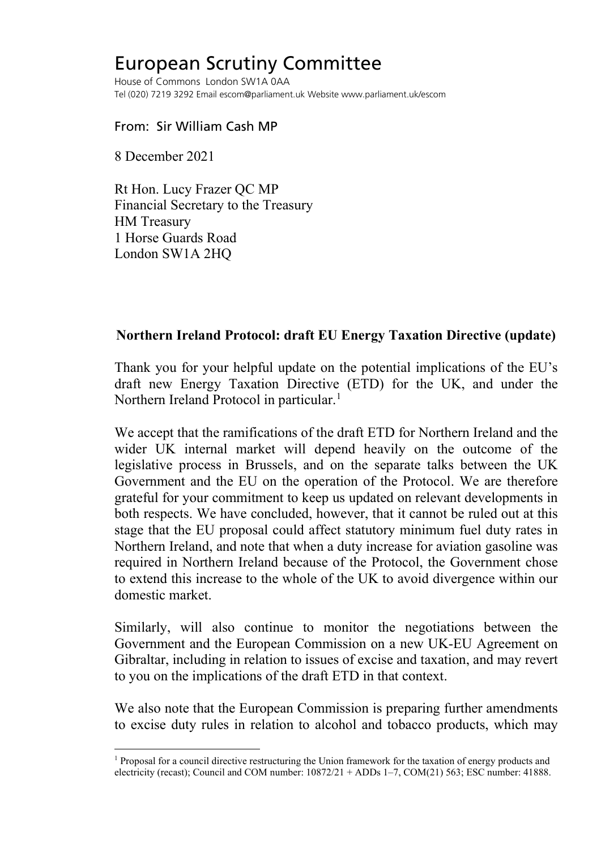## European Scrutiny Committee

House of Commons London SW1A 0AA Tel (020) 7219 3292 Email escom@parliament.uk Website www.parliament.uk/escom

## From: Sir William Cash MP

8 December 2021

Rt Hon. Lucy Frazer QC MP Financial Secretary to the Treasury HM Treasury 1 Horse Guards Road London SW1A 2HQ

## **Northern Ireland Protocol: draft EU Energy Taxation Directive (update)**

Thank you for your helpful update on the potential implications of the EU's draft new Energy Taxation Directive (ETD) for the UK, and under the Northern Ireland Protocol in particular.<sup>1</sup>

We accept that the ramifications of the draft ETD for Northern Ireland and the wider UK internal market will depend heavily on the outcome of the legislative process in Brussels, and on the separate talks between the UK Government and the EU on the operation of the Protocol. We are therefore grateful for your commitment to keep us updated on relevant developments in both respects. We have concluded, however, that it cannot be ruled out at this stage that the EU proposal could affect statutory minimum fuel duty rates in Northern Ireland, and note that when a duty increase for aviation gasoline was required in Northern Ireland because of the Protocol, the Government chose to extend this increase to the whole of the UK to avoid divergence within our domestic market.

Similarly, will also continue to monitor the negotiations between the Government and the European Commission on a new UK-EU Agreement on Gibraltar, including in relation to issues of excise and taxation, and may revert to you on the implications of the draft ETD in that context.

We also note that the European Commission is preparing further amendments to excise duty rules in relation to alcohol and tobacco products, which may

<span id="page-0-0"></span><sup>1</sup> Proposal for a council directive restructuring the Union framework for the taxation of energy products and electricity (recast); Council and COM number: 10872/21 + ADDs 1–7, COM(21) 563; ESC number: 41888.